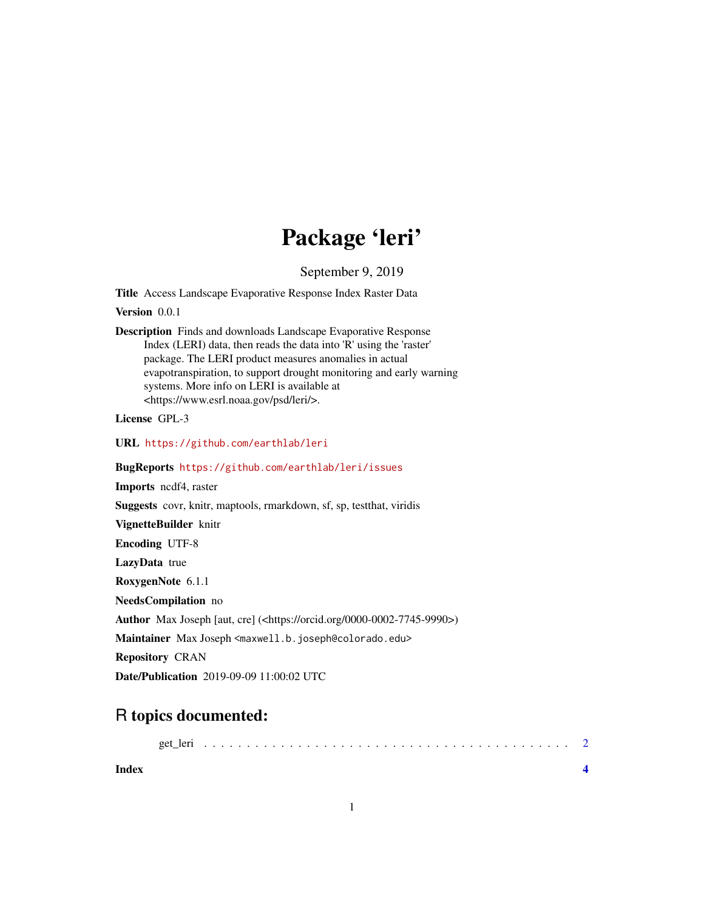## Package 'leri'

September 9, 2019

Title Access Landscape Evaporative Response Index Raster Data

Version 0.0.1

Description Finds and downloads Landscape Evaporative Response Index (LERI) data, then reads the data into 'R' using the 'raster' package. The LERI product measures anomalies in actual evapotranspiration, to support drought monitoring and early warning systems. More info on LERI is available at <https://www.esrl.noaa.gov/psd/leri/>.

License GPL-3

URL <https://github.com/earthlab/leri>

BugReports <https://github.com/earthlab/leri/issues>

Imports ncdf4, raster

Suggests covr, knitr, maptools, rmarkdown, sf, sp, testthat, viridis

VignetteBuilder knitr

Encoding UTF-8

LazyData true

RoxygenNote 6.1.1

NeedsCompilation no

Author Max Joseph [aut, cre] (<https://orcid.org/0000-0002-7745-9990>)

Maintainer Max Joseph <maxwell.b.joseph@colorado.edu>

Repository CRAN

Date/Publication 2019-09-09 11:00:02 UTC

### R topics documented:

|--|--|

**Index** [4](#page-3-0)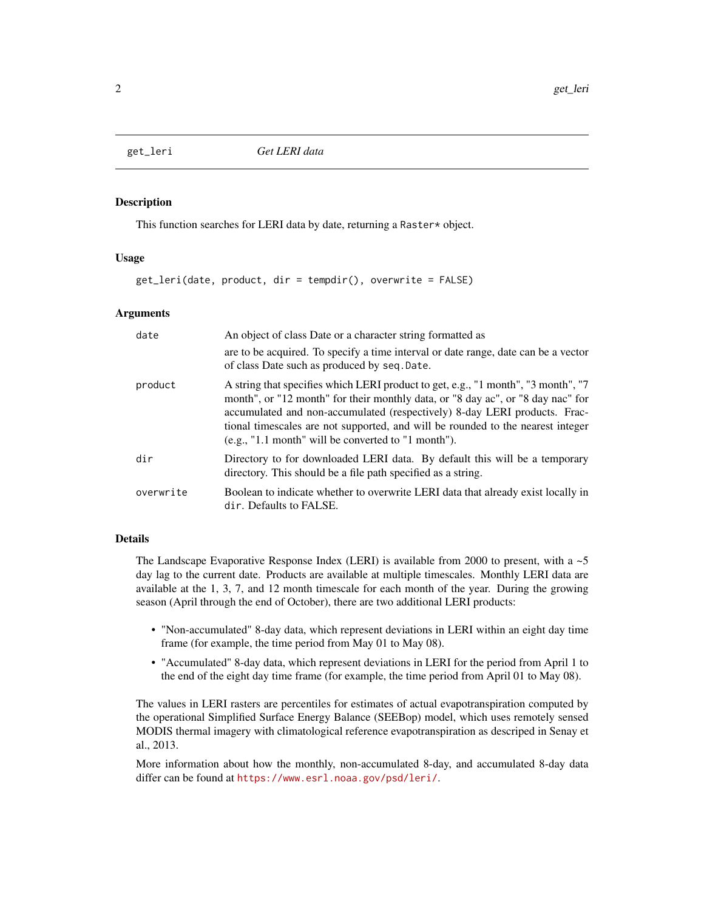<span id="page-1-0"></span>

#### Description

This function searches for LERI data by date, returning a Raster\* object.

#### Usage

get\_leri(date, product, dir = tempdir(), overwrite = FALSE)

#### Arguments

| date      | An object of class Date or a character string formatted as                                                                                                                                                                                                                                                                                                                                    |
|-----------|-----------------------------------------------------------------------------------------------------------------------------------------------------------------------------------------------------------------------------------------------------------------------------------------------------------------------------------------------------------------------------------------------|
|           | are to be acquired. To specify a time interval or date range, date can be a vector<br>of class Date such as produced by seq. Date.                                                                                                                                                                                                                                                            |
| product   | A string that specifies which LERI product to get, e.g., "1 month", "3 month", "7<br>month", or "12 month" for their monthly data, or "8 day ac", or "8 day nac" for<br>accumulated and non-accumulated (respectively) 8-day LERI products. Frac-<br>tional timescales are not supported, and will be rounded to the nearest integer<br>$(e.g., "1.1 month" will be converted to "1 month").$ |
| dir       | Directory to for downloaded LERI data. By default this will be a temporary<br>directory. This should be a file path specified as a string.                                                                                                                                                                                                                                                    |
| overwrite | Boolean to indicate whether to overwrite LERI data that already exist locally in<br>dir. Defaults to FALSE.                                                                                                                                                                                                                                                                                   |

#### Details

The Landscape Evaporative Response Index (LERI) is available from 2000 to present, with a  $\sim$ 5 day lag to the current date. Products are available at multiple timescales. Monthly LERI data are available at the 1, 3, 7, and 12 month timescale for each month of the year. During the growing season (April through the end of October), there are two additional LERI products:

- "Non-accumulated" 8-day data, which represent deviations in LERI within an eight day time frame (for example, the time period from May 01 to May 08).
- "Accumulated" 8-day data, which represent deviations in LERI for the period from April 1 to the end of the eight day time frame (for example, the time period from April 01 to May 08).

The values in LERI rasters are percentiles for estimates of actual evapotranspiration computed by the operational Simplified Surface Energy Balance (SEEBop) model, which uses remotely sensed MODIS thermal imagery with climatological reference evapotranspiration as descriped in Senay et al., 2013.

More information about how the monthly, non-accumulated 8-day, and accumulated 8-day data differ can be found at <https://www.esrl.noaa.gov/psd/leri/>.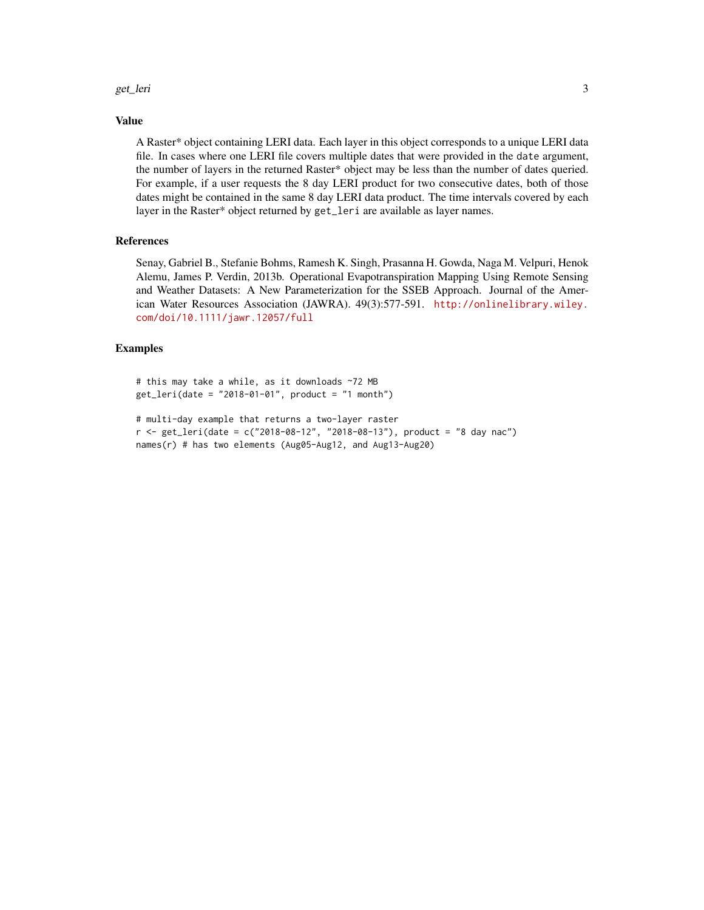#### get\_leri 33

#### Value

A Raster\* object containing LERI data. Each layer in this object corresponds to a unique LERI data file. In cases where one LERI file covers multiple dates that were provided in the date argument, the number of layers in the returned Raster\* object may be less than the number of dates queried. For example, if a user requests the 8 day LERI product for two consecutive dates, both of those dates might be contained in the same 8 day LERI data product. The time intervals covered by each layer in the Raster\* object returned by get\_leri are available as layer names.

#### References

Senay, Gabriel B., Stefanie Bohms, Ramesh K. Singh, Prasanna H. Gowda, Naga M. Velpuri, Henok Alemu, James P. Verdin, 2013b. Operational Evapotranspiration Mapping Using Remote Sensing and Weather Datasets: A New Parameterization for the SSEB Approach. Journal of the American Water Resources Association (JAWRA). 49(3):577-591. [http://onlinelibrary.wiley.](http://onlinelibrary.wiley.com/doi/10.1111/jawr.12057/full) [com/doi/10.1111/jawr.12057/full](http://onlinelibrary.wiley.com/doi/10.1111/jawr.12057/full)

#### Examples

```
# this may take a while, as it downloads ~72 MB
get_leri(date = "2018-01-01", product = "1 month")
# multi-day example that returns a two-layer raster
r <- get_leri(date = c("2018-08-12", "2018-08-13"), product = "8 day nac")
names(r) # has two elements (Aug05-Aug12, and Aug13-Aug20)
```